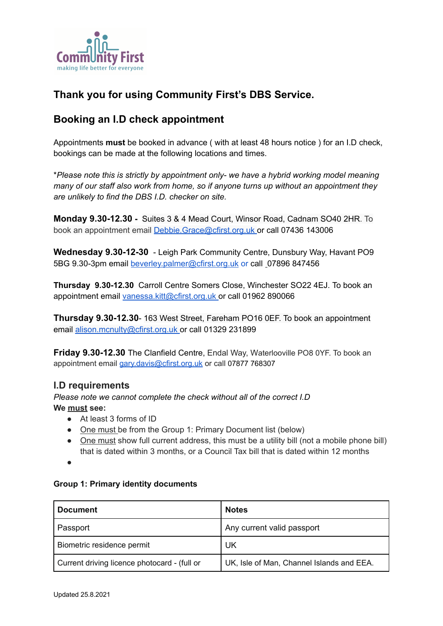

# **Thank you for using Community First's DBS Service.**

## **Booking an I.D check appointment**

Appointments **must** be booked in advance ( with at least 48 hours notice ) for an I.D check, bookings can be made at the following locations and times.

\**Please note this is strictly by appointment only- we have a hybrid working model meaning many of our staff also work from home, so if anyone turns up without an appointment they are unlikely to find the DBS I.D. checker on site.*

**Monday 9.30-12.30 -** Suites 3 & 4 Mead Court, Winsor Road, Cadnam SO40 2HR. To book an appointment email [Debbie.Grace@cfirst.org.uk](mailto:Debbie.Grace@cfirst.org.uk) or call 07436 143006

**Wednesday 9.30-12-30** - Leigh Park Community Centre, Dunsbury Way, Havant PO9 5BG 9.30-3pm email [beverley.palmer@cfirst.org.uk](mailto:beverley.palmer@cfirst.org.uk) or call [0](mailto:lin.dudman@cfirst.org.uk)7896 847456

**Thursday 9.30-12.30** Carroll Centre Somers Close, Winchester SO22 4EJ. To book an appointment email [vanessa.kitt@cfirst.org.uk](mailto:vanessa.kitt@cfirst.org.uk) or call 01962 890066

**Thursday 9.30-12.30**- 163 West Street, Fareham PO16 0EF. To book an appointment email [alison.mcnulty@cfirst.org.uk](mailto:alison.mcnulty@cfirst.org.uk) or call 01329 231899

**Friday 9.30-12.30** The Clanfield Centre, Endal Way, Waterlooville PO8 0YF. To book an appointment email [gary.davis@cfirst.org.uk](mailto:gary.davis@cfirst.org.uk) or call 07877 768307

### **I.D requirements**

*Please note we cannot complete the check without all of the correct I.D* **We must see:**

- At least 3 forms of ID
- One must be from the Group 1: Primary Document list (below)
- One must show full current address, this must be a utility bill (not a mobile phone bill) that is dated within 3 months, or a Council Tax bill that is dated within 12 months

●

#### **Group 1: Primary identity documents**

| <b>Document</b>                              | <b>Notes</b>                              |
|----------------------------------------------|-------------------------------------------|
| Passport                                     | Any current valid passport                |
| Biometric residence permit                   | UK                                        |
| Current driving licence photocard - (full or | UK, Isle of Man, Channel Islands and EEA. |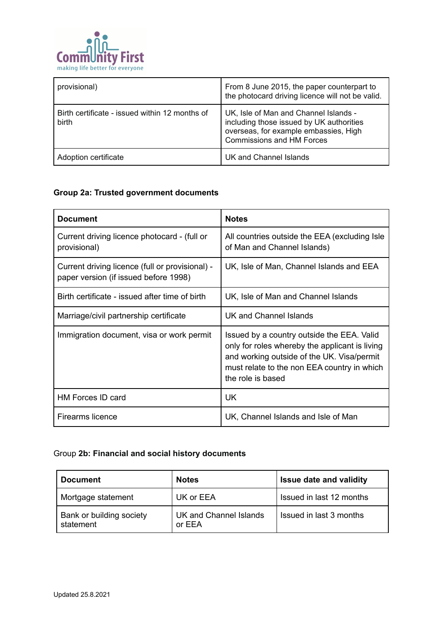

| provisional)                                            | From 8 June 2015, the paper counterpart to<br>the photocard driving licence will not be valid.                                                                 |
|---------------------------------------------------------|----------------------------------------------------------------------------------------------------------------------------------------------------------------|
| Birth certificate - issued within 12 months of<br>birth | UK, Isle of Man and Channel Islands -<br>including those issued by UK authorities<br>overseas, for example embassies, High<br><b>Commissions and HM Forces</b> |
| Adoption certificate                                    | UK and Channel Islands                                                                                                                                         |

## **Group 2a: Trusted government documents**

| <b>Document</b>                                                                          | <b>Notes</b>                                                                                                                                                                                                   |
|------------------------------------------------------------------------------------------|----------------------------------------------------------------------------------------------------------------------------------------------------------------------------------------------------------------|
| Current driving licence photocard - (full or<br>provisional)                             | All countries outside the EEA (excluding Isle<br>of Man and Channel Islands)                                                                                                                                   |
| Current driving licence (full or provisional) -<br>paper version (if issued before 1998) | UK, Isle of Man, Channel Islands and EEA                                                                                                                                                                       |
| Birth certificate - issued after time of birth                                           | UK, Isle of Man and Channel Islands                                                                                                                                                                            |
| Marriage/civil partnership certificate                                                   | UK and Channel Islands                                                                                                                                                                                         |
| Immigration document, visa or work permit                                                | Issued by a country outside the EEA. Valid<br>only for roles whereby the applicant is living<br>and working outside of the UK. Visa/permit<br>must relate to the non EEA country in which<br>the role is based |
| <b>HM Forces ID card</b>                                                                 | <b>UK</b>                                                                                                                                                                                                      |
| Firearms licence                                                                         | UK, Channel Islands and Isle of Man                                                                                                                                                                            |

### Group **2b: Financial and social history documents**

| <b>Document</b>                       | <b>Notes</b>                     | <b>Issue date and validity</b> |
|---------------------------------------|----------------------------------|--------------------------------|
| Mortgage statement                    | UK or EEA                        | Issued in last 12 months       |
| Bank or building society<br>statement | UK and Channel Islands<br>or EEA | Issued in last 3 months        |